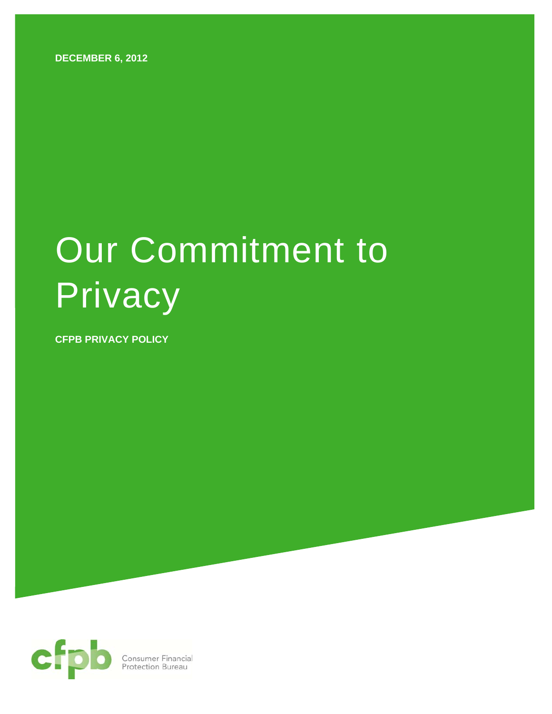**DECEMBER 6, 2012** 

# Our Commitment to **Privacy**

**CFPB PRIVACY POLICY** 

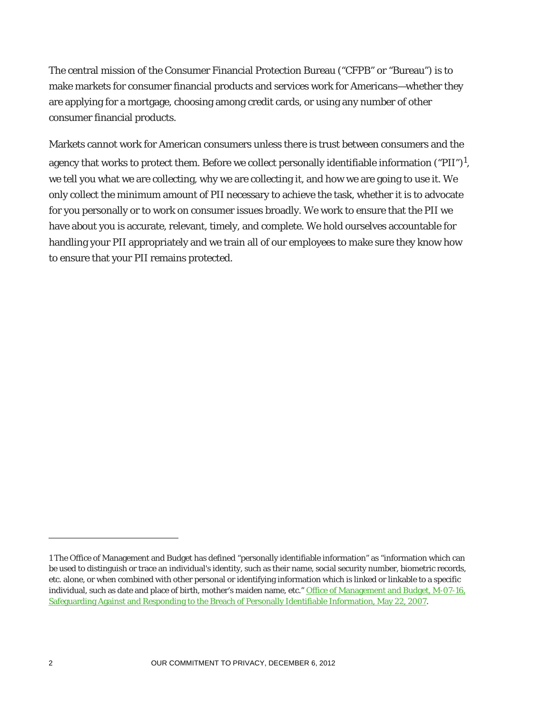The central mission of the Consumer Financial Protection Bureau ("CFPB" or "Bureau") is to make markets for consumer financial products and services work for Americans—whether they are applying for a mortgage, choosing among credit cards, or using any number of other consumer financial products.

Markets cannot work for American consumers unless there is trust between consumers and the agency that works to protect them. Before we collect personally identifiable information ("PII")<sup>1</sup>, we tell you what we are collecting, why we are collecting it, and how we are going to use it. We only collect the minimum amount of PII necessary to achieve the task, whether it is to advocate for you personally or to work on consumer issues broadly. We work to ensure that the PII we have about you is accurate, relevant, timely, and complete. We hold ourselves accountable for handling your PII appropriately and we train all of our employees to make sure they know how to ensure that your PII remains protected.

<u>.</u>

<sup>1</sup> The Office of Management and Budget has defined "personally identifiable information" as "information which can be used to distinguish or trace an individual's identity, such as their name, social security number, biometric records, etc. alone, or when combined with other personal or identifying information which is linked or linkable to a specific individual, such as date and place of birth, mother's maiden name, etc." Office of Management and Budget, M-07-16, Safeguarding Against and Responding to the Breach of Personally Identifiable Information, May 22, 2007.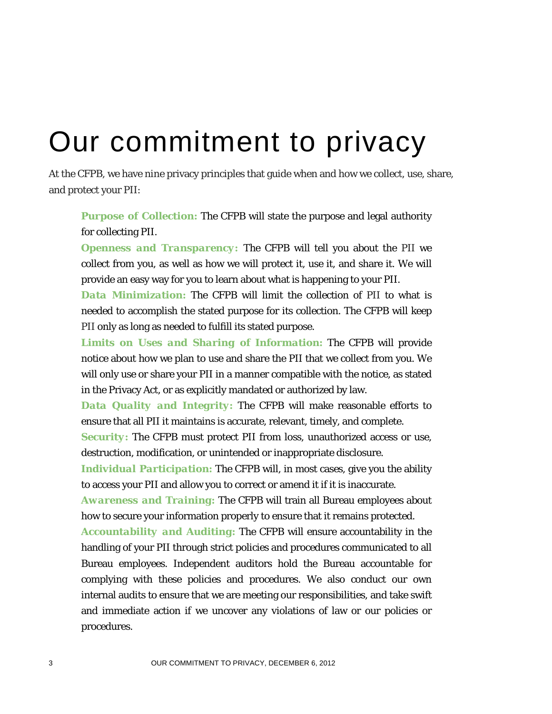# Our commitment to privacy

At the CFPB, we have nine privacy principles that guide when and how we collect, use, share, and protect your PII:

*Purpose of Collection:* The CFPB will state the purpose and legal authority for collecting PII.

*Openness and Transparency:* The CFPB will tell you about the PII we collect from you, as well as how we will protect it, use it, and share it. We will provide an easy way for you to learn about what is happening to your PII.

*Data Minimization:* The CFPB will limit the collection of PII to what is needed to accomplish the stated purpose for its collection. The CFPB will keep PII only as long as needed to fulfill its stated purpose.

*Limits on Uses and Sharing of Information:* The CFPB will provide notice about how we plan to use and share the PII that we collect from you. We will only use or share your PII in a manner compatible with the notice, as stated in the Privacy Act, or as explicitly mandated or authorized by law.

*Data Quality and Integrity:* The CFPB will make reasonable efforts to ensure that all PII it maintains is accurate, relevant, timely, and complete.

*Security:* The CFPB must protect PII from loss, unauthorized access or use, destruction, modification, or unintended or inappropriate disclosure.

*Individual Participation:* The CFPB will, in most cases, give you the ability to access your PII and allow you to correct or amend it if it is inaccurate.

*Awareness and Training:* The CFPB will train all Bureau employees about how to secure your information properly to ensure that it remains protected.

*Accountability and Auditing:* The CFPB will ensure accountability in the handling of your PII through strict policies and procedures communicated to all Bureau employees. Independent auditors hold the Bureau accountable for complying with these policies and procedures. We also conduct our own internal audits to ensure that we are meeting our responsibilities, and take swift and immediate action if we uncover any violations of law or our policies or procedures.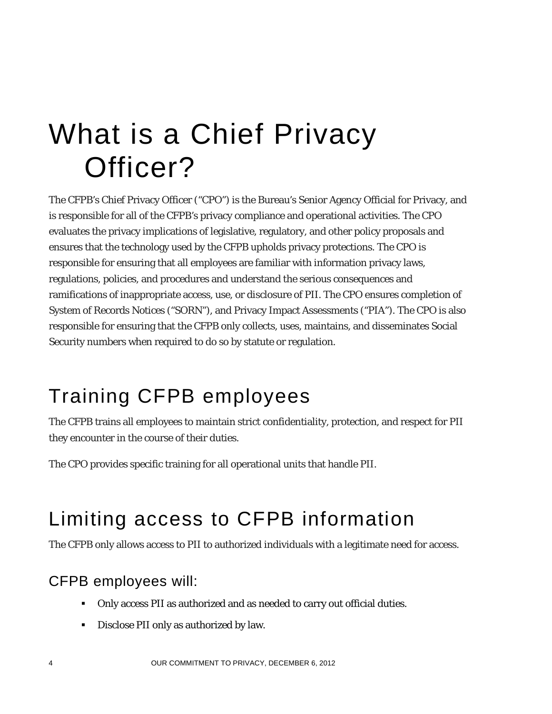## What is a Chief Privacy Officer?

The CFPB's Chief Privacy Officer ("CPO") is the Bureau's Senior Agency Official for Privacy, and is responsible for all of the CFPB's privacy compliance and operational activities. The CPO evaluates the privacy implications of legislative, regulatory, and other policy proposals and ensures that the technology used by the CFPB upholds privacy protections. The CPO is responsible for ensuring that all employees are familiar with information privacy laws, regulations, policies, and procedures and understand the serious consequences and ramifications of inappropriate access, use, or disclosure of PII. The CPO ensures completion of System of Records Notices ("SORN"), and Privacy Impact Assessments ("PIA"). The CPO is also responsible for ensuring that the CFPB only collects, uses, maintains, and disseminates Social Security numbers when required to do so by statute or regulation.

### Training CFPB employees

The CFPB trains all employees to maintain strict confidentiality, protection, and respect for PII they encounter in the course of their duties.

The CPO provides specific training for all operational units that handle PII.

### Limiting access to CFPB information

The CFPB only allows access to PII to authorized individuals with a legitimate need for access.

#### CFPB employees will:

- Only access PII as authorized and as needed to carry out official duties.
- Disclose PII only as authorized by law.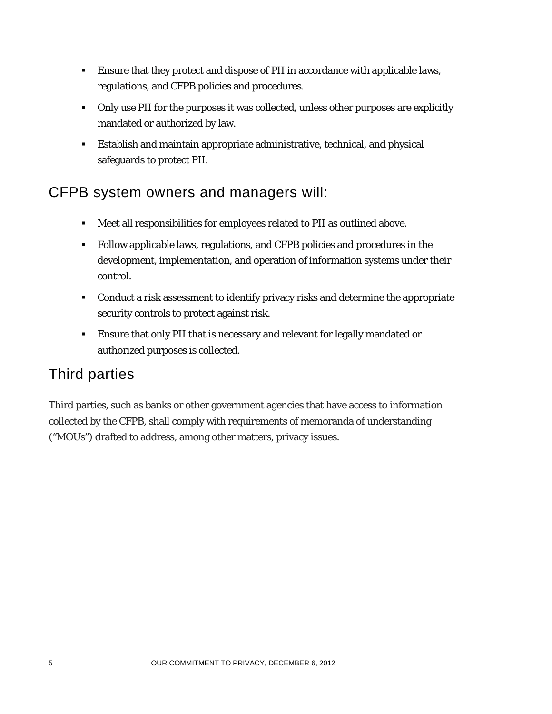- Ensure that they protect and dispose of PII in accordance with applicable laws, regulations, and CFPB policies and procedures.
- Only use PII for the purposes it was collected, unless other purposes are explicitly mandated or authorized by law.
- Establish and maintain appropriate administrative, technical, and physical safeguards to protect PII.

#### CFPB system owners and managers will:

- Meet all responsibilities for employees related to PII as outlined above.
- Follow applicable laws, regulations, and CFPB policies and procedures in the development, implementation, and operation of information systems under their control.
- Conduct a risk assessment to identify privacy risks and determine the appropriate security controls to protect against risk.
- **Ensure that only PII that is necessary and relevant for legally mandated or** authorized purposes is collected.

### Third parties

Third parties, such as banks or other government agencies that have access to information collected by the CFPB, shall comply with requirements of memoranda of understanding ("MOUs") drafted to address, among other matters, privacy issues.